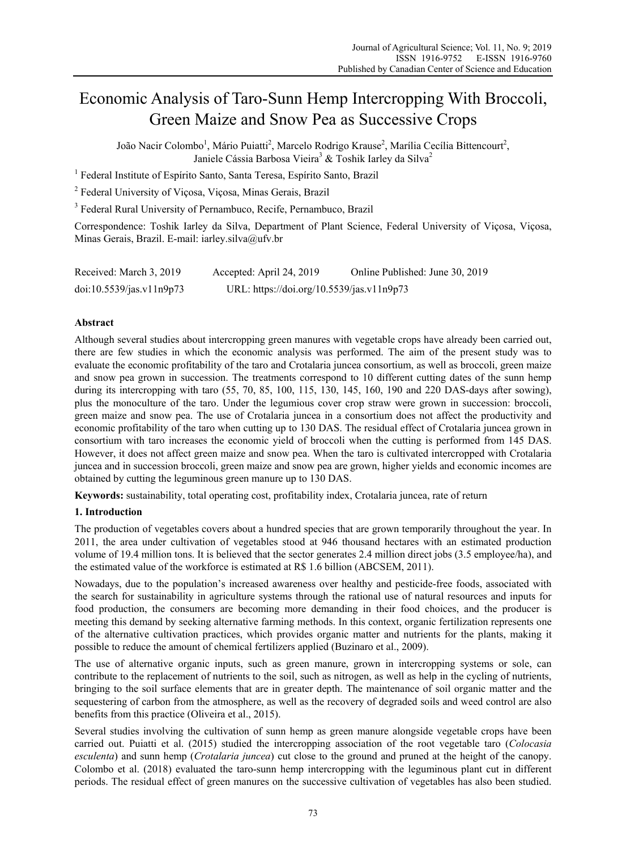# Economic Analysis of Taro-Sunn Hemp Intercropping With Broccoli, Green Maize and Snow Pea as Successive Crops

João Nacir Colombo<sup>1</sup>, Mário Puiatti<sup>2</sup>, Marcelo Rodrigo Krause<sup>2</sup>, Marília Cecília Bittencourt<sup>2</sup>, Janiele Cássia Barbosa Vieira<sup>3</sup> & Toshik Iarley da Silva<sup>2</sup>

<sup>1</sup> Federal Institute of Espírito Santo, Santa Teresa, Espírito Santo, Brazil

2 Federal University of Viçosa, Viçosa, Minas Gerais, Brazil

<sup>3</sup> Federal Rural University of Pernambuco, Recife, Pernambuco, Brazil

Correspondence: Toshik Iarley da Silva, Department of Plant Science, Federal University of Viçosa, Viçosa, Minas Gerais, Brazil. E-mail: iarley.silva@ufv.br

| Received: March 3, 2019  | Accepted: April 24, 2019                  | Online Published: June 30, 2019 |
|--------------------------|-------------------------------------------|---------------------------------|
| doi:10.5539/jas.v11n9p73 | URL: https://doi.org/10.5539/jas.v11n9p73 |                                 |

## **Abstract**

Although several studies about intercropping green manures with vegetable crops have already been carried out, there are few studies in which the economic analysis was performed. The aim of the present study was to evaluate the economic profitability of the taro and Crotalaria juncea consortium, as well as broccoli, green maize and snow pea grown in succession. The treatments correspond to 10 different cutting dates of the sunn hemp during its intercropping with taro (55, 70, 85, 100, 115, 130, 145, 160, 190 and 220 DAS-days after sowing), plus the monoculture of the taro. Under the legumious cover crop straw were grown in succession: broccoli, green maize and snow pea. The use of Crotalaria juncea in a consortium does not affect the productivity and economic profitability of the taro when cutting up to 130 DAS. The residual effect of Crotalaria juncea grown in consortium with taro increases the economic yield of broccoli when the cutting is performed from 145 DAS. However, it does not affect green maize and snow pea. When the taro is cultivated intercropped with Crotalaria juncea and in succession broccoli, green maize and snow pea are grown, higher yields and economic incomes are obtained by cutting the leguminous green manure up to 130 DAS.

**Keywords:** sustainability, total operating cost, profitability index, Crotalaria juncea, rate of return

### **1. Introduction**

The production of vegetables covers about a hundred species that are grown temporarily throughout the year. In 2011, the area under cultivation of vegetables stood at 946 thousand hectares with an estimated production volume of 19.4 million tons. It is believed that the sector generates 2.4 million direct jobs (3.5 employee/ha), and the estimated value of the workforce is estimated at R\$ 1.6 billion (ABCSEM, 2011).

Nowadays, due to the population's increased awareness over healthy and pesticide-free foods, associated with the search for sustainability in agriculture systems through the rational use of natural resources and inputs for food production, the consumers are becoming more demanding in their food choices, and the producer is meeting this demand by seeking alternative farming methods. In this context, organic fertilization represents one of the alternative cultivation practices, which provides organic matter and nutrients for the plants, making it possible to reduce the amount of chemical fertilizers applied (Buzinaro et al., 2009).

The use of alternative organic inputs, such as green manure, grown in intercropping systems or sole, can contribute to the replacement of nutrients to the soil, such as nitrogen, as well as help in the cycling of nutrients, bringing to the soil surface elements that are in greater depth. The maintenance of soil organic matter and the sequestering of carbon from the atmosphere, as well as the recovery of degraded soils and weed control are also benefits from this practice (Oliveira et al., 2015).

Several studies involving the cultivation of sunn hemp as green manure alongside vegetable crops have been carried out. Puiatti et al. (2015) studied the intercropping association of the root vegetable taro (*Colocasia esculenta*) and sunn hemp (*Crotalaria juncea*) cut close to the ground and pruned at the height of the canopy. Colombo et al. (2018) evaluated the taro-sunn hemp intercropping with the leguminous plant cut in different periods. The residual effect of green manures on the successive cultivation of vegetables has also been studied.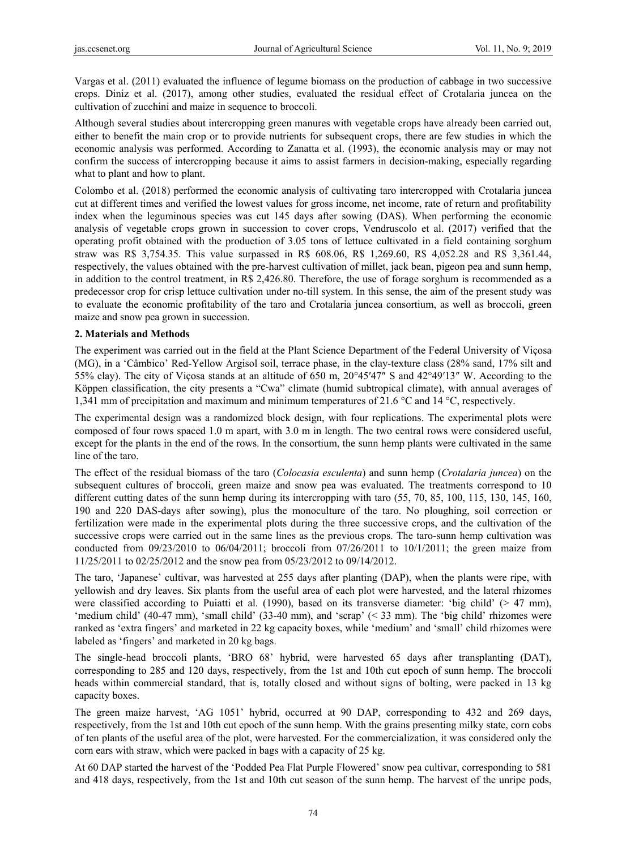Vargas et al. (2011) evaluated the influence of legume biomass on the production of cabbage in two successive crops. Diniz et al. (2017), among other studies, evaluated the residual effect of Crotalaria juncea on the cultivation of zucchini and maize in sequence to broccoli.

Although several studies about intercropping green manures with vegetable crops have already been carried out, either to benefit the main crop or to provide nutrients for subsequent crops, there are few studies in which the economic analysis was performed. According to Zanatta et al. (1993), the economic analysis may or may not confirm the success of intercropping because it aims to assist farmers in decision-making, especially regarding what to plant and how to plant.

Colombo et al. (2018) performed the economic analysis of cultivating taro intercropped with Crotalaria juncea cut at different times and verified the lowest values for gross income, net income, rate of return and profitability index when the leguminous species was cut 145 days after sowing (DAS). When performing the economic analysis of vegetable crops grown in succession to cover crops, Vendruscolo et al. (2017) verified that the operating profit obtained with the production of 3.05 tons of lettuce cultivated in a field containing sorghum straw was R\$ 3,754.35. This value surpassed in R\$ 608.06, R\$ 1,269.60, R\$ 4,052.28 and R\$ 3,361.44, respectively, the values obtained with the pre-harvest cultivation of millet, jack bean, pigeon pea and sunn hemp, in addition to the control treatment, in R\$ 2,426.80. Therefore, the use of forage sorghum is recommended as a predecessor crop for crisp lettuce cultivation under no-till system. In this sense, the aim of the present study was to evaluate the economic profitability of the taro and Crotalaria juncea consortium, as well as broccoli, green maize and snow pea grown in succession.

### **2. Materials and Methods**

The experiment was carried out in the field at the Plant Science Department of the Federal University of Viçosa (MG), in a 'Câmbico' Red-Yellow Argisol soil, terrace phase, in the clay-texture class (28% sand, 17% silt and 55% clay). The city of Viçosa stands at an altitude of 650 m, 20°45′47″ S and 42°49′13″ W. According to the Köppen classification, the city presents a "Cwa" climate (humid subtropical climate), with annual averages of 1,341 mm of precipitation and maximum and minimum temperatures of 21.6 °C and 14 °C, respectively.

The experimental design was a randomized block design, with four replications. The experimental plots were composed of four rows spaced 1.0 m apart, with 3.0 m in length. The two central rows were considered useful, except for the plants in the end of the rows. In the consortium, the sunn hemp plants were cultivated in the same line of the taro.

The effect of the residual biomass of the taro (*Colocasia esculenta*) and sunn hemp (*Crotalaria juncea*) on the subsequent cultures of broccoli, green maize and snow pea was evaluated. The treatments correspond to 10 different cutting dates of the sunn hemp during its intercropping with taro  $(55, 70, 85, 100, 115, 130, 145, 160, 160)$ 190 and 220 DAS-days after sowing), plus the monoculture of the taro. No ploughing, soil correction or fertilization were made in the experimental plots during the three successive crops, and the cultivation of the successive crops were carried out in the same lines as the previous crops. The taro-sunn hemp cultivation was conducted from  $09/23/2010$  to  $06/04/2011$ ; broccoli from  $07/26/2011$  to  $10/1/2011$ ; the green maize from 11/25/2011 to 02/25/2012 and the snow pea from 05/23/2012 to 09/14/2012.

The taro, 'Japanese' cultivar, was harvested at 255 days after planting (DAP), when the plants were ripe, with yellowish and dry leaves. Six plants from the useful area of each plot were harvested, and the lateral rhizomes were classified according to Puiatti et al. (1990), based on its transverse diameter: 'big child' ( $> 47$  mm), 'medium child' (40-47 mm), 'small child' (33-40 mm), and 'scrap' (< 33 mm). The 'big child' rhizomes were ranked as 'extra fingers' and marketed in 22 kg capacity boxes, while 'medium' and 'small' child rhizomes were labeled as 'fingers' and marketed in 20 kg bags.

The single-head broccoli plants, 'BRO 68' hybrid, were harvested 65 days after transplanting (DAT), corresponding to 285 and 120 days, respectively, from the 1st and 10th cut epoch of sunn hemp. The broccoli heads within commercial standard, that is, totally closed and without signs of bolting, were packed in 13 kg capacity boxes.

The green maize harvest, 'AG 1051' hybrid, occurred at 90 DAP, corresponding to 432 and 269 days, respectively, from the 1st and 10th cut epoch of the sunn hemp. With the grains presenting milky state, corn cobs of ten plants of the useful area of the plot, were harvested. For the commercialization, it was considered only the corn ears with straw, which were packed in bags with a capacity of 25 kg.

At 60 DAP started the harvest of the 'Podded Pea Flat Purple Flowered' snow pea cultivar, corresponding to 581 and 418 days, respectively, from the 1st and 10th cut season of the sunn hemp. The harvest of the unripe pods,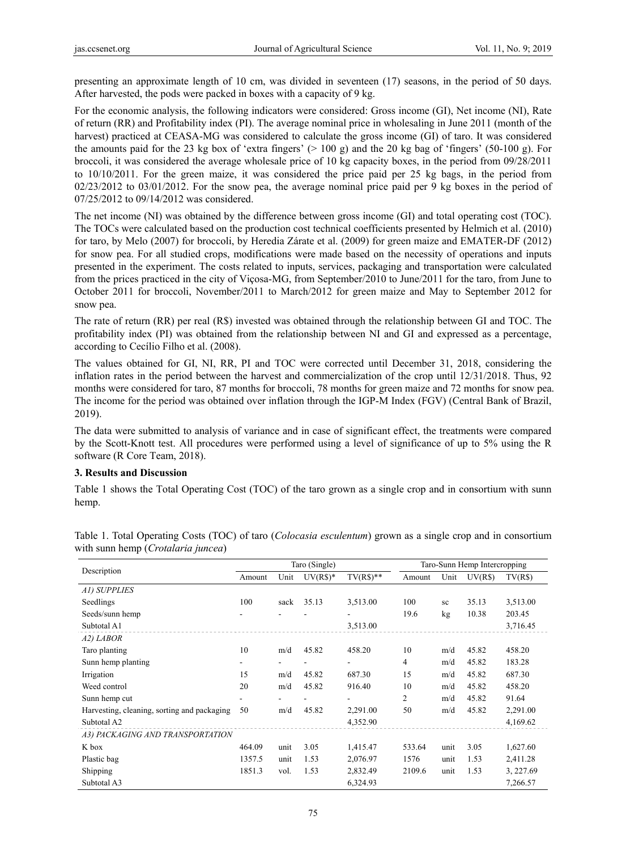presenting an approximate length of 10 cm, was divided in seventeen (17) seasons, in the period of 50 days. After harvested, the pods were packed in boxes with a capacity of 9 kg.

For the economic analysis, the following indicators were considered: Gross income (GI), Net income (NI), Rate of return (RR) and Profitability index (PI). The average nominal price in wholesaling in June 2011 (month of the harvest) practiced at CEASA-MG was considered to calculate the gross income (GI) of taro. It was considered the amounts paid for the 23 kg box of 'extra fingers' ( $> 100$  g) and the 20 kg bag of 'fingers' (50-100 g). For broccoli, it was considered the average wholesale price of 10 kg capacity boxes, in the period from 09/28/2011 to 10/10/2011. For the green maize, it was considered the price paid per 25 kg bags, in the period from 02/23/2012 to 03/01/2012. For the snow pea, the average nominal price paid per 9 kg boxes in the period of 07/25/2012 to 09/14/2012 was considered.

The net income (NI) was obtained by the difference between gross income (GI) and total operating cost (TOC). The TOCs were calculated based on the production cost technical coefficients presented by Helmich et al. (2010) for taro, by Melo (2007) for broccoli, by Heredia Zárate et al. (2009) for green maize and EMATER-DF (2012) for snow pea. For all studied crops, modifications were made based on the necessity of operations and inputs presented in the experiment. The costs related to inputs, services, packaging and transportation were calculated from the prices practiced in the city of Viçosa-MG, from September/2010 to June/2011 for the taro, from June to October 2011 for broccoli, November/2011 to March/2012 for green maize and May to September 2012 for snow pea.

The rate of return (RR) per real (R\$) invested was obtained through the relationship between GI and TOC. The profitability index (PI) was obtained from the relationship between NI and GI and expressed as a percentage, according to Cecílio Filho et al. (2008).

The values obtained for GI, NI, RR, PI and TOC were corrected until December 31, 2018, considering the inflation rates in the period between the harvest and commercialization of the crop until 12/31/2018. Thus, 92 months were considered for taro, 87 months for broccoli, 78 months for green maize and 72 months for snow pea. The income for the period was obtained over inflation through the IGP-M Index (FGV) (Central Bank of Brazil, 2019).

The data were submitted to analysis of variance and in case of significant effect, the treatments were compared by the Scott-Knott test. All procedures were performed using a level of significance of up to 5% using the R software (R Core Team, 2018).

### **3. Results and Discussion**

Table 1 shows the Total Operating Cost (TOC) of the taro grown as a single crop and in consortium with sunn hemp.

|                                             |        |      | Taro (Single) |                          | Taro-Sunn Hemp Intercropping |      |         |           |
|---------------------------------------------|--------|------|---------------|--------------------------|------------------------------|------|---------|-----------|
| Description                                 | Amount | Unit | $UV(R$)*$     | $TV(R\$ <sup>**</sup>    | Amount                       | Unit | UV(R\$) | TV(R\$)   |
| A1) SUPPLIES                                |        |      |               |                          |                              |      |         |           |
| Seedlings                                   | 100    | sack | 35.13         | 3,513.00                 | 100                          | sc   | 35.13   | 3,513.00  |
| Seeds/sunn hemp                             |        |      |               |                          | 19.6                         | kg   | 10.38   | 203.45    |
| Subtotal A1                                 |        |      |               | 3,513.00                 |                              |      |         | 3,716.45  |
| A2) LABOR                                   |        |      |               |                          |                              |      |         |           |
| Taro planting                               | 10     | m/d  | 45.82         | 458.20                   | 10                           | m/d  | 45.82   | 458.20    |
| Sunn hemp planting                          | -      |      |               | $\overline{\phantom{0}}$ | 4                            | m/d  | 45.82   | 183.28    |
| Irrigation                                  | 15     | m/d  | 45.82         | 687.30                   | 15                           | m/d  | 45.82   | 687.30    |
| Weed control                                | 20     | m/d  | 45.82         | 916.40                   | 10                           | m/d  | 45.82   | 458.20    |
| Sunn hemp cut                               | ۰.     |      |               |                          | 2                            | m/d  | 45.82   | 91.64     |
| Harvesting, cleaning, sorting and packaging | 50     | m/d  | 45.82         | 2,291.00                 | 50                           | m/d  | 45.82   | 2,291.00  |
| Subtotal A2                                 |        |      |               | 4,352.90                 |                              |      |         | 4,169.62  |
| A3) PACKAGING AND TRANSPORTATION            |        |      |               |                          |                              |      |         |           |
| K box                                       | 464.09 | unit | 3.05          | 1,415.47                 | 533.64                       | unit | 3.05    | 1,627.60  |
| Plastic bag                                 | 1357.5 | unit | 1.53          | 2,076.97                 | 1576                         | unit | 1.53    | 2,411.28  |
| Shipping                                    | 1851.3 | vol. | 1.53          | 2,832.49                 | 2109.6                       | unit | 1.53    | 3, 227.69 |
| Subtotal A3                                 |        |      |               | 6,324.93                 |                              |      |         | 7,266.57  |

Table 1. Total Operating Costs (TOC) of taro (*Colocasia esculentum*) grown as a single crop and in consortium with sunn hemp (*Crotalaria juncea*)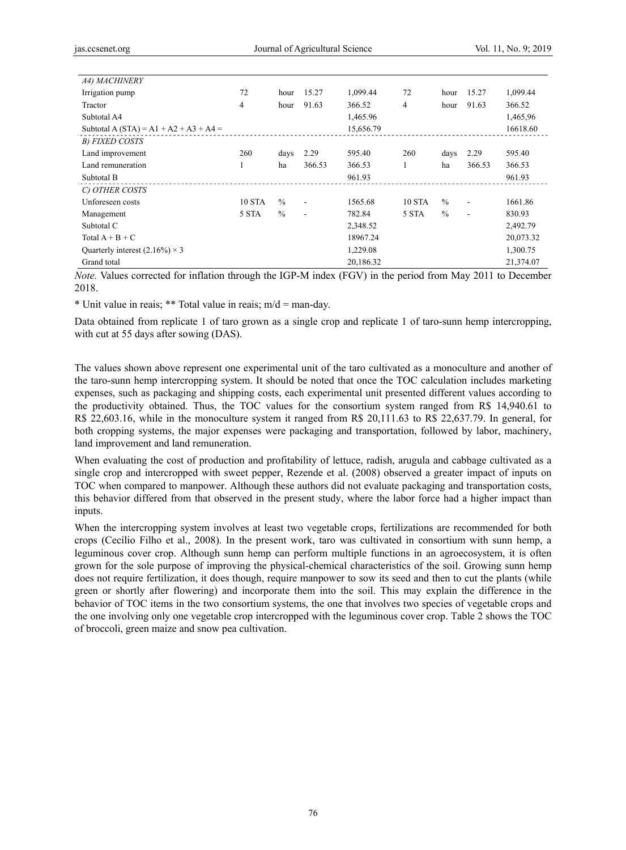| A4) MACHINERY                          |               |               |                |           |               |               |                |           |
|----------------------------------------|---------------|---------------|----------------|-----------|---------------|---------------|----------------|-----------|
| Irrigation pump                        | 72            | hour          | 15.27          | 1,099.44  | 72            | hour          | 15.27          | 1,099.44  |
| Tractor                                | 4             | hour          | 91.63          | 366.52    | 4             | hour          | 91.63          | 366.52    |
| Subtotal A4                            |               |               |                | 1,465.96  |               |               |                | 1,465,96  |
| Subtotal A (STA) = A1 + A2 + A3 + A4 = |               |               |                | 15,656.79 |               |               |                | 16618.60  |
| B) FIXED COSTS                         |               |               |                |           |               |               |                |           |
| Land improvement                       | 260           | days          | 2.29           | 595.40    | 260           | days          | 2.29           | 595.40    |
| Land remuneration                      |               | ha            | 366.53         | 366.53    |               | ha            | 366.53         | 366.53    |
| Subtotal B                             |               |               |                | 961.93    |               |               |                | 961.93    |
| C) OTHER COSTS                         |               |               |                |           |               |               |                |           |
| Unforeseen costs                       | <b>10 STA</b> | $\frac{0}{0}$ | ٠              | 1565.68   | <b>10 STA</b> | $\frac{0}{0}$ | $\blacksquare$ | 1661.86   |
| Management                             | 5 STA         | $\%$          | $\blacksquare$ | 782.84    | 5 STA         | $\frac{0}{0}$ | ٠              | 830.93    |
| Subtotal C                             |               |               |                | 2,348.52  |               |               |                | 2,492.79  |
| Total $A + B + C$                      |               |               |                | 18967.24  |               |               |                | 20,073.32 |
| Quarterly interest $(2.16\%) \times 3$ |               |               |                | 1,229.08  |               |               |                | 1,300.75  |
| Grand total                            |               |               |                | 20,186.32 |               |               |                | 21,374.07 |

*Note.* Values corrected for inflation through the IGP-M index (FGV) in the period from May 2011 to December 2018.

\* Unit value in reais; \*\* Total value in reais; m/d = man-day.

Data obtained from replicate 1 of taro grown as a single crop and replicate 1 of taro-sunn hemp intercropping, with cut at 55 days after sowing (DAS).

The values shown above represent one experimental unit of the taro cultivated as a monoculture and another of the taro-sunn hemp intercropping system. It should be noted that once the TOC calculation includes marketing expenses, such as packaging and shipping costs, each experimental unit presented different values according to the productivity obtained. Thus, the TOC values for the consortium system ranged from R\$ 14,940.61 to R\$ 22,603.16, while in the monoculture system it ranged from R\$ 20,111.63 to R\$ 22,637.79. In general, for both cropping systems, the major expenses were packaging and transportation, followed by labor, machinery, land improvement and land remuneration.

When evaluating the cost of production and profitability of lettuce, radish, arugula and cabbage cultivated as a single crop and intercropped with sweet pepper, Rezende et al. (2008) observed a greater impact of inputs on TOC when compared to manpower. Although these authors did not evaluate packaging and transportation costs, this behavior differed from that observed in the present study, where the labor force had a higher impact than inputs.

When the intercropping system involves at least two vegetable crops, fertilizations are recommended for both crops (Cecílio Filho et al., 2008). In the present work, taro was cultivated in consortium with sunn hemp, a leguminous cover crop. Although sunn hemp can perform multiple functions in an agroecosystem, it is often grown for the sole purpose of improving the physical-chemical characteristics of the soil. Growing sunn hemp does not require fertilization, it does though, require manpower to sow its seed and then to cut the plants (while green or shortly after flowering) and incorporate them into the soil. This may explain the difference in the behavior of TOC items in the two consortium systems, the one that involves two species of vegetable crops and the one involving only one vegetable crop intercropped with the leguminous cover crop. Table 2 shows the TOC of broccoli, green maize and snow pea cultivation.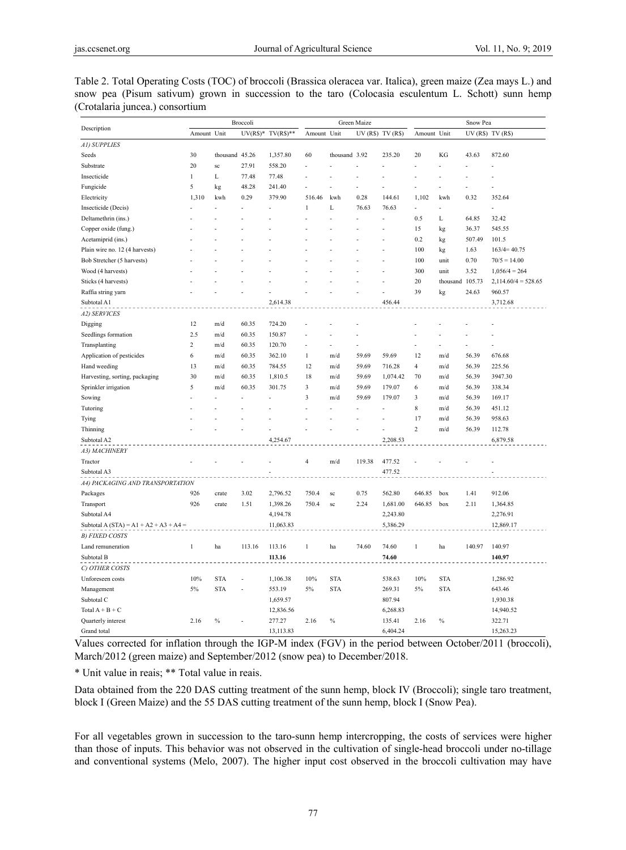| J                                        | Broccoli       |                |        | Green Maize        |                |               |              |                 | Snow Pea       |            |                 |                       |
|------------------------------------------|----------------|----------------|--------|--------------------|----------------|---------------|--------------|-----------------|----------------|------------|-----------------|-----------------------|
| Description                              | Amount Unit    |                |        | $UV(R$)* TV(R$)**$ | Amount Unit    |               |              | UV(R\$) TV(R\$) | Amount Unit    |            | UV(R\$) TV(R\$) |                       |
| A1) SUPPLIES                             |                |                |        |                    |                |               |              |                 |                |            |                 |                       |
| Seeds                                    | 30             | thousand 45.26 |        | 1,357.80           | 60             | thousand 3.92 |              | 235.20          | 20             | KG         | 43.63           | 872.60                |
| Substrate                                | 20             | sc             | 27.91  | 558.20             |                |               |              |                 |                |            |                 |                       |
| Insecticide                              | 1              | L              | 77.48  | 77.48              |                |               |              |                 |                |            |                 |                       |
| Fungicide                                | 5              | kg             | 48.28  | 241.40             |                |               |              |                 |                |            |                 |                       |
| Electricity                              | 1,310          | kwh            | 0.29   | 379.90             | 516.46         | kwh           | 0.28         | 144.61          | 1,102          | kwh        | 0.32            | 352.64                |
| Insecticide (Decis)                      |                |                |        |                    | $\mathbf{1}$   | L             | 76.63        | 76.63           | $\overline{a}$ |            |                 |                       |
| Deltamethrin (ins.)                      |                |                |        |                    |                |               |              | $\overline{a}$  | 0.5            | L          | 64.85           | 32.42                 |
| Copper oxide (fung.)                     |                |                |        |                    |                |               |              |                 | 15             | kg         | 36.37           | 545.55                |
| Acetamiprid (ins.)                       |                |                |        |                    |                |               |              |                 | 0.2            | kg         | 507.49          | 101.5                 |
| Plain wire no. 12 (4 harvests)           |                |                |        |                    |                |               |              |                 | 100            | kg         | 1.63            | $163/4=40.75$         |
| Bob Stretcher (5 harvests)               |                |                |        |                    |                |               |              |                 | 100            | unit       | 0.70            | $70/5 = 14.00$        |
| Wood (4 harvests)                        |                |                |        |                    |                |               |              |                 | 300            | unit       | 3.52            | $1,056/4=264$         |
| Sticks (4 harvests)                      |                |                |        |                    |                |               |              |                 | $20\,$         | thousand   | 105.73          | $2,114.60/4 = 528.65$ |
| Raffia string yarn                       |                |                |        |                    |                |               |              |                 | 39             | kg         | 24.63           | 960.57                |
| Subtotal A1                              |                |                |        | 2,614.38           |                |               |              | 456.44          |                |            |                 | 3,712.68              |
| A2) SERVICES                             |                |                |        |                    |                |               |              |                 |                |            |                 |                       |
| Digging                                  | 12             | m/d            | 60.35  | 724.20             |                |               |              |                 |                |            |                 |                       |
| Seedlings formation                      | 2.5            | m/d            | 60.35  | 150.87             |                |               |              |                 |                |            |                 |                       |
| Transplanting                            | $\overline{c}$ | m/d            | 60.35  | 120.70             | $\overline{a}$ |               |              |                 |                |            |                 |                       |
| Application of pesticides                | 6              | m/d            | 60.35  | 362.10             | $\mathbf{1}$   | m/d           | 59.69        | 59.69           | 12             | m/d        | 56.39           | 676.68                |
| Hand weeding                             | 13             | m/d            | 60.35  | 784.55             | 12             | m/d           | 59.69        | 716.28          | $\overline{4}$ | m/d        | 56.39           | 225.56                |
| Harvesting, sorting, packaging           | 30             | m/d            | 60.35  | 1,810.5            | 18             | m/d           | 59.69        | 1,074.42        | 70             | m/d        | 56.39           | 3947.30               |
| Sprinkler irrigation                     | 5              | m/d            | 60.35  | 301.75             | 3              | m/d           | 59.69        | 179.07          | 6              | m/d        | 56.39           | 338.34                |
| Sowing                                   |                |                |        |                    | 3              | m/d           | 59.69        | 179.07          | 3              | m/d        | 56.39           | 169.17                |
| Tutoring                                 |                |                |        |                    |                |               |              |                 | 8              | m/d        | 56.39           | 451.12                |
| Tying                                    |                |                |        |                    |                |               |              |                 | 17             | m/d        | 56.39           | 958.63                |
| Thinning                                 |                |                |        |                    |                |               |              |                 | $\mathfrak 2$  | m/d        | 56.39           | 112.78                |
| Subtotal A2                              |                |                |        | 4,254.67           |                |               |              | 2,208.53        |                |            |                 | 6,879.58              |
| A3) MACHINERY                            |                |                |        |                    |                |               |              |                 |                |            |                 |                       |
| Tractor                                  |                |                |        |                    | $\overline{4}$ | m/d           | 119.38       | 477.52          |                |            |                 |                       |
| Subtotal A3                              |                |                |        |                    |                |               |              | 477.52          |                |            |                 |                       |
|                                          |                |                |        |                    |                |               |              |                 |                |            |                 |                       |
| A4) PACKAGING AND TRANSPORTATION         |                |                |        |                    |                |               |              |                 |                |            |                 |                       |
| Packages                                 | 926<br>926     | crate          | 3.02   | 2,796.52           | 750.4          | sc            | 0.75<br>2.24 | 562.80          | 646.85         | box        | 1.41            | 912.06                |
| Transport                                |                | crate          | 1.51   | 1,398.26           | 750.4          | sc            |              | 1,681.00        | 646.85         | box        | 2.11            | 1,364.85              |
| Subtotal A4                              |                |                |        | 4,194.78           |                |               |              | 2,243.80        |                |            |                 | 2,276.91              |
| Subtotal A (STA) = $A1 + A2 + A3 + A4 =$ |                |                |        | 11,063.83          |                |               |              | 5,386.29        |                |            |                 | 12,869.17             |
| <b>B) FIXED COSTS</b>                    |                |                |        |                    |                |               |              |                 |                |            |                 |                       |
| Land remuneration                        | 1              | ha             | 113.16 | 113.16             | 1              | ha            | 74.60        | 74.60           | 1              | ha         | 140.97          | 140.97                |
| Subtotal B                               |                |                |        | 113.16             |                |               |              | 74.60           |                |            |                 | 140.97                |
| C) OTHER COSTS                           |                |                |        |                    |                |               |              |                 |                |            |                 |                       |
| Unforeseen costs                         | 10%            | <b>STA</b>     |        | 1,106.38           | 10%            | <b>STA</b>    |              | 538.63          | 10%            | <b>STA</b> |                 | 1,286.92              |
| Management                               | 5%             | <b>STA</b>     |        | 553.19             | 5%             | <b>STA</b>    |              | 269.31          | 5%             | <b>STA</b> |                 | 643.46                |
| Subtotal C                               |                |                |        | 1,659.57           |                |               |              | 807.94          |                |            |                 | 1,930.38              |
| Total $A + B + C$                        |                |                |        | 12,836.56          |                |               |              | 6,268.83        |                |            |                 | 14,940.52             |
| Quarterly interest                       | 2.16           | $\%$           |        | 277.27             | 2.16           | $\%$          |              | 135.41          | 2.16           | $\%$       |                 | 322.71                |
| Grand total                              |                |                |        | 13,113.83          |                |               |              | 6,404.24        |                |            |                 | 15,263.23             |

Table 2. Total Operating Costs (TOC) of broccoli (Brassica oleracea var. Italica), green maize (Zea mays L.) and snow pea (Pisum sativum) grown in succession to the taro (Colocasia esculentum L. Schott) sunn hemp (Crotalaria juncea.) consortium

Values corrected for inflation through the IGP-M index (FGV) in the period between October/2011 (broccoli), March/2012 (green maize) and September/2012 (snow pea) to December/2018.

\* Unit value in reais; \*\* Total value in reais.

Data obtained from the 220 DAS cutting treatment of the sunn hemp, block IV (Broccoli); single taro treatment, block I (Green Maize) and the 55 DAS cutting treatment of the sunn hemp, block I (Snow Pea).

For all vegetables grown in succession to the taro-sunn hemp intercropping, the costs of services were higher than those of inputs. This behavior was not observed in the cultivation of single-head broccoli under no-tillage and conventional systems (Melo, 2007). The higher input cost observed in the broccoli cultivation may have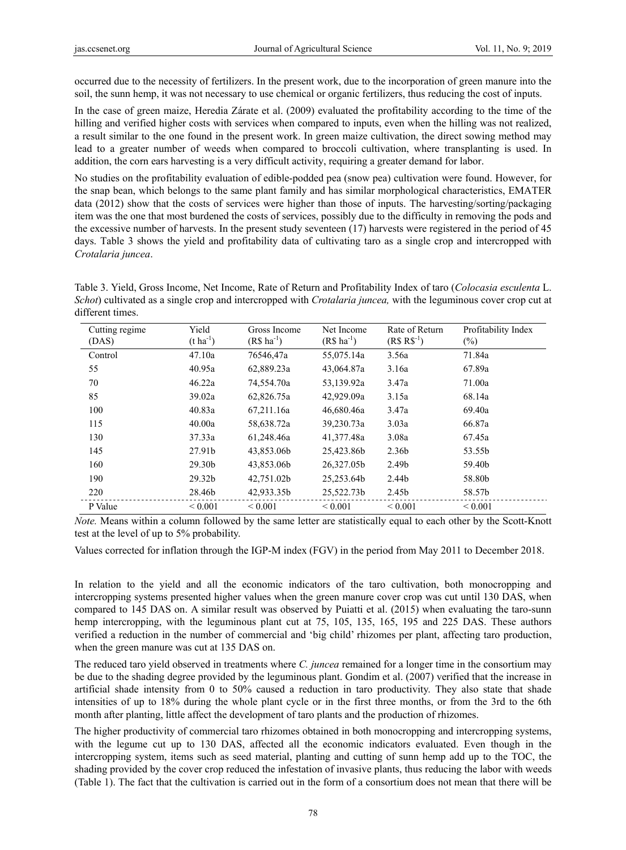occurred due to the necessity of fertilizers. In the present work, due to the incorporation of green manure into the soil, the sunn hemp, it was not necessary to use chemical or organic fertilizers, thus reducing the cost of inputs.

In the case of green maize, Heredia Zárate et al. (2009) evaluated the profitability according to the time of the hilling and verified higher costs with services when compared to inputs, even when the hilling was not realized, a result similar to the one found in the present work. In green maize cultivation, the direct sowing method may lead to a greater number of weeds when compared to broccoli cultivation, where transplanting is used. In addition, the corn ears harvesting is a very difficult activity, requiring a greater demand for labor.

No studies on the profitability evaluation of edible-podded pea (snow pea) cultivation were found. However, for the snap bean, which belongs to the same plant family and has similar morphological characteristics, EMATER data (2012) show that the costs of services were higher than those of inputs. The harvesting/sorting/packaging item was the one that most burdened the costs of services, possibly due to the difficulty in removing the pods and the excessive number of harvests. In the present study seventeen (17) harvests were registered in the period of 45 days. Table 3 shows the yield and profitability data of cultivating taro as a single crop and intercropped with *Crotalaria juncea*.

Table 3. Yield, Gross Income, Net Income, Rate of Return and Profitability Index of taro (*Colocasia esculenta* L. *Schot*) cultivated as a single crop and intercropped with *Crotalaria juncea,* with the leguminous cover crop cut at different times.

| Cutting regime<br>(DAS) | Yield<br>$(t \, ha^{-1})$ | Gross Income<br>$(R$ ha^{-1})$ | Net Income<br>$(R$ ha^{-1})$ | Rate of Return<br>$(R$ R$^{-1})$ | Profitability Index<br>$(\%)$ |
|-------------------------|---------------------------|--------------------------------|------------------------------|----------------------------------|-------------------------------|
| Control                 | 47.10a                    | 76546,47a                      | 55,075.14a                   | 3.56a                            | 71.84a                        |
| 55                      | 40.95a                    | 62,889.23a                     | 43,064.87a                   | 3.16a                            | 67.89a                        |
| 70                      | 46.22a                    | 74,554.70a                     | 53,139.92a                   | 3.47a                            | 71.00a                        |
| 85                      | 39.02a                    | 62,826.75a                     | 42,929.09a                   | 3.15a                            | 68.14a                        |
| 100                     | 40.83a                    | 67.211.16a                     | 46.680.46a                   | 3.47a                            | 69.40a                        |
| 115                     | 40.00a                    | 58,638.72a                     | 39,230.73a                   | 3.03a                            | 66.87a                        |
| 130                     | 37.33a                    | 61,248.46a                     | 41,377.48a                   | 3.08a                            | 67.45a                        |
| 145                     | 27.91b                    | 43,853.06b                     | 25,423.86b                   | 2.36b                            | 53.55b                        |
| 160                     | 29.30b                    | 43,853.06b                     | 26,327.05b                   | 2.49b                            | 59.40b                        |
| 190                     | 29.32b                    | 42,751.02b                     | 25,253.64b                   | 2.44b                            | 58.80b                        |
| 220                     | 28.46b                    | 42,933.35b                     | 25,522.73b                   | 2.45b                            | 58.57b                        |
| P Value                 | ${}_{0.001}$              | ${}_{0.001}$                   | ${}_{0.001}$                 | ${}_{0.001}$                     | ${}_{0.001}$                  |

*Note.* Means within a column followed by the same letter are statistically equal to each other by the Scott-Knott test at the level of up to 5% probability.

Values corrected for inflation through the IGP-M index (FGV) in the period from May 2011 to December 2018.

In relation to the yield and all the economic indicators of the taro cultivation, both monocropping and intercropping systems presented higher values when the green manure cover crop was cut until 130 DAS, when compared to 145 DAS on. A similar result was observed by Puiatti et al. (2015) when evaluating the taro-sunn hemp intercropping, with the leguminous plant cut at 75, 105, 135, 165, 195 and 225 DAS. These authors verified a reduction in the number of commercial and 'big child' rhizomes per plant, affecting taro production, when the green manure was cut at 135 DAS on.

The reduced taro yield observed in treatments where *C. juncea* remained for a longer time in the consortium may be due to the shading degree provided by the leguminous plant. Gondim et al. (2007) verified that the increase in artificial shade intensity from 0 to 50% caused a reduction in taro productivity. They also state that shade intensities of up to 18% during the whole plant cycle or in the first three months, or from the 3rd to the 6th month after planting, little affect the development of taro plants and the production of rhizomes.

The higher productivity of commercial taro rhizomes obtained in both monocropping and intercropping systems, with the legume cut up to 130 DAS, affected all the economic indicators evaluated. Even though in the intercropping system, items such as seed material, planting and cutting of sunn hemp add up to the TOC, the shading provided by the cover crop reduced the infestation of invasive plants, thus reducing the labor with weeds (Table 1). The fact that the cultivation is carried out in the form of a consortium does not mean that there will be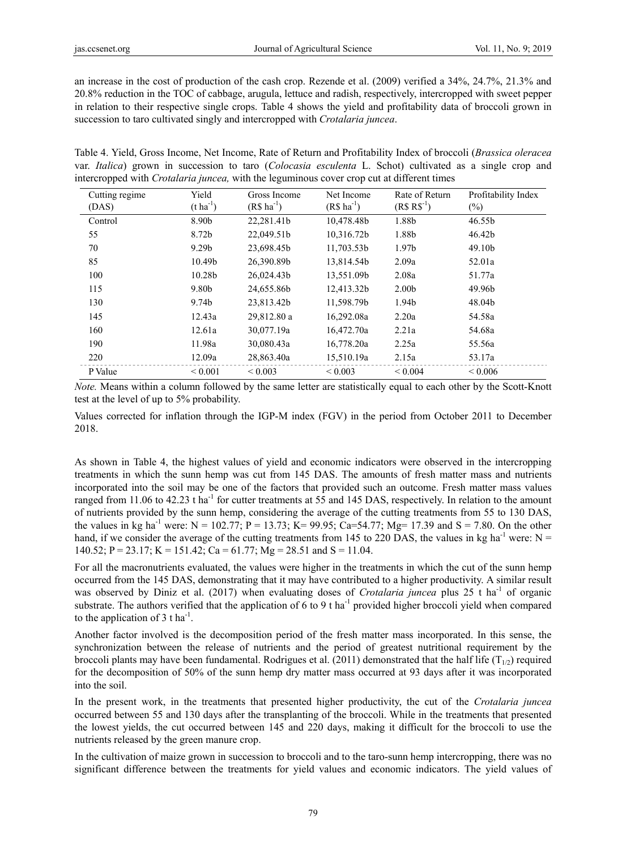an increase in the cost of production of the cash crop. Rezende et al. (2009) verified a 34%, 24.7%, 21.3% and 20.8% reduction in the TOC of cabbage, arugula, lettuce and radish, respectively, intercropped with sweet pepper in relation to their respective single crops. Table 4 shows the yield and profitability data of broccoli grown in succession to taro cultivated singly and intercropped with *Crotalaria juncea*.

Table 4. Yield, Gross Income, Net Income, Rate of Return and Profitability Index of broccoli (*Brassica oleracea* var. *Italica*) grown in succession to taro (*Colocasia esculenta* L. Schot) cultivated as a single crop and intercropped with *Crotalaria juncea,* with the leguminous cover crop cut at different times

| Cutting regime<br>(DAS) | Yield<br>$(t \text{ ha}^{-1})$ | Gross Income<br>$(R$ ha^{-1})$ | Net Income<br>$(R\$ ha <sup>-1</sup> ) | Rate of Return<br>$(R$ R$^{-1})$ | Profitability Index<br>$(\%)$ |
|-------------------------|--------------------------------|--------------------------------|----------------------------------------|----------------------------------|-------------------------------|
| Control                 | 8.90b                          | 22.281.41b                     | 10,478.48b                             | 1.88b                            | 46.55b                        |
| 55                      | 8.72b                          | 22,049.51b                     | 10,316.72b                             | 1.88b                            | 46.42b                        |
| 70                      | 9.29 <sub>b</sub>              | 23,698.45b                     | 11,703.53b                             | 1.97 <sub>b</sub>                | 49.10 <sub>b</sub>            |
| 85                      | 10.49b                         | 26.390.89b                     | 13,814.54b                             | 2.09a                            | 52.01a                        |
| 100                     | 10.28b                         | 26,024.43b                     | 13,551.09b                             | 2.08a                            | 51.77a                        |
| 115                     | 9.80b                          | 24.655.86b                     | 12,413.32b                             | 2.00 <sub>b</sub>                | 49.96b                        |
| 130                     | 9.74b                          | 23,813.42b                     | 11,598.79b                             | 1.94b                            | 48.04b                        |
| 145                     | 12.43a                         | 29,812.80 a                    | 16,292.08a                             | 2.20a                            | 54.58a                        |
| 160                     | 12.61a                         | 30,077.19a                     | 16,472.70a                             | 2.21a                            | 54.68a                        |
| 190                     | 11.98a                         | 30,080.43a                     | 16,778.20a                             | 2.25a                            | 55.56a                        |
| 220                     | 12.09a                         | 28,863.40a                     | 15,510.19a                             | 2.15a                            | 53.17a                        |
| P Value                 | ${}< 0.001$                    | ${}_{0.003}$                   | ${}_{0.003}$                           | ${}_{0.004}$                     | ${}_{0.006}$                  |

*Note.* Means within a column followed by the same letter are statistically equal to each other by the Scott-Knott test at the level of up to 5% probability.

Values corrected for inflation through the IGP-M index (FGV) in the period from October 2011 to December 2018.

As shown in Table 4, the highest values of yield and economic indicators were observed in the intercropping treatments in which the sunn hemp was cut from 145 DAS. The amounts of fresh matter mass and nutrients incorporated into the soil may be one of the factors that provided such an outcome. Fresh matter mass values ranged from 11.06 to 42.23 t ha<sup>-1</sup> for cutter treatments at 55 and 145 DAS, respectively. In relation to the amount of nutrients provided by the sunn hemp, considering the average of the cutting treatments from 55 to 130 DAS, the values in kg ha<sup>-1</sup> were:  $N = 102.77$ ;  $P = 13.73$ ;  $K = 99.95$ ; Ca=54.77; Mg= 17.39 and S = 7.80. On the other hand, if we consider the average of the cutting treatments from 145 to 220 DAS, the values in kg ha<sup>-1</sup> were: N = 140.52; P = 23.17; K = 151.42; Ca = 61.77; Mg = 28.51 and S = 11.04.

For all the macronutrients evaluated, the values were higher in the treatments in which the cut of the sunn hemp occurred from the 145 DAS, demonstrating that it may have contributed to a higher productivity. A similar result was observed by Diniz et al. (2017) when evaluating doses of *Crotalaria juncea* plus 25 t ha<sup>-1</sup> of organic substrate. The authors verified that the application of 6 to 9 t ha<sup>-1</sup> provided higher broccoli yield when compared to the application of 3 t ha<sup>-1</sup>.

Another factor involved is the decomposition period of the fresh matter mass incorporated. In this sense, the synchronization between the release of nutrients and the period of greatest nutritional requirement by the broccoli plants may have been fundamental. Rodrigues et al. (2011) demonstrated that the half life ( $T_{1/2}$ ) required for the decomposition of 50% of the sunn hemp dry matter mass occurred at 93 days after it was incorporated into the soil.

In the present work, in the treatments that presented higher productivity, the cut of the *Crotalaria juncea* occurred between 55 and 130 days after the transplanting of the broccoli. While in the treatments that presented the lowest yields, the cut occurred between 145 and 220 days, making it difficult for the broccoli to use the nutrients released by the green manure crop.

In the cultivation of maize grown in succession to broccoli and to the taro-sunn hemp intercropping, there was no significant difference between the treatments for yield values and economic indicators. The yield values of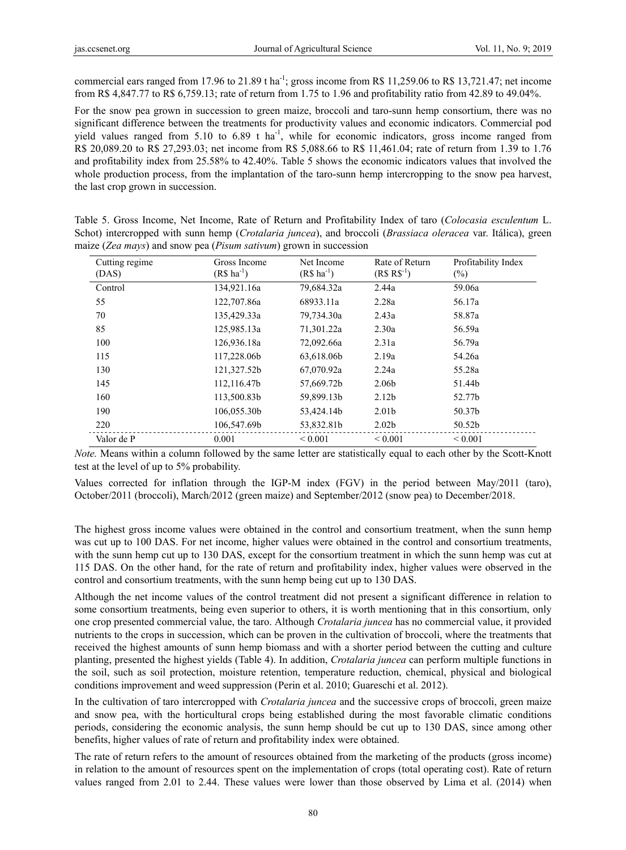commercial ears ranged from 17.96 to 21.89 t ha<sup>-1</sup>; gross income from R\$ 11,259.06 to R\$ 13,721.47; net income from R\$ 4,847.77 to R\$ 6,759.13; rate of return from 1.75 to 1.96 and profitability ratio from 42.89 to 49.04%.

For the snow pea grown in succession to green maize, broccoli and taro-sunn hemp consortium, there was no significant difference between the treatments for productivity values and economic indicators. Commercial pod yield values ranged from 5.10 to 6.89 t ha<sup>-1</sup>, while for economic indicators, gross income ranged from R\$ 20,089.20 to R\$ 27,293.03; net income from R\$ 5,088.66 to R\$ 11,461.04; rate of return from 1.39 to 1.76 and profitability index from 25.58% to 42.40%. Table 5 shows the economic indicators values that involved the whole production process, from the implantation of the taro-sunn hemp intercropping to the snow pea harvest, the last crop grown in succession.

Table 5. Gross Income, Net Income, Rate of Return and Profitability Index of taro (*Colocasia esculentum* L. Schot) intercropped with sunn hemp (*Crotalaria juncea*), and broccoli (*Brassiaca oleracea* var. Itálica), green maize (*Zea mays*) and snow pea (*Pisum sativum*) grown in succession

| Cutting regime<br>(DAS) | Gross Income<br>$(R\$ ha <sup>-1</sup> ) | Net Income<br>$(R$ ha^{-1})$ | Rate of Return<br>$(R$ R$^{-1})$ | Profitability Index<br>$(\%)$ |
|-------------------------|------------------------------------------|------------------------------|----------------------------------|-------------------------------|
| Control                 | 134,921.16a                              | 79,684.32a                   | 2.44a                            | 59.06a                        |
| 55                      | 122,707.86a                              | 68933.11a                    | 2.28a                            | 56.17a                        |
| 70                      | 135,429.33a                              | 79,734.30a                   | 2.43a                            | 58.87a                        |
| 85                      | 125,985.13a                              | 71,301.22a                   | 2.30a                            | 56.59a                        |
| 100                     | 126,936.18a                              | 72,092.66a                   | 2.31a                            | 56.79a                        |
| 115                     | 117,228.06b                              | 63,618.06b                   | 2.19a                            | 54.26a                        |
| 130                     | 121,327.52b                              | 67,070.92a                   | 2.24a                            | 55.28a                        |
| 145                     | 112,116.47b                              | 57,669.72b                   | 2.06b                            | 51.44b                        |
| 160                     | 113,500.83b                              | 59,899.13b                   | 2.12 <sub>b</sub>                | 52.77b                        |
| 190                     | 106,055.30b                              | 53,424.14b                   | 2.01 <sub>b</sub>                | 50.37b                        |
| 220                     | 106,547.69b                              | 53,832.81b                   | 2.02 <sub>b</sub>                | 50.52b                        |
| Valor de P              | 0.001                                    | ${}_{0.001}$                 | ${}_{0.001}$                     | ${}_{0.001}$                  |

*Note.* Means within a column followed by the same letter are statistically equal to each other by the Scott-Knott test at the level of up to 5% probability.

Values corrected for inflation through the IGP-M index (FGV) in the period between May/2011 (taro), October/2011 (broccoli), March/2012 (green maize) and September/2012 (snow pea) to December/2018.

The highest gross income values were obtained in the control and consortium treatment, when the sunn hemp was cut up to 100 DAS. For net income, higher values were obtained in the control and consortium treatments, with the sunn hemp cut up to 130 DAS, except for the consortium treatment in which the sunn hemp was cut at 115 DAS. On the other hand, for the rate of return and profitability index, higher values were observed in the control and consortium treatments, with the sunn hemp being cut up to 130 DAS.

Although the net income values of the control treatment did not present a significant difference in relation to some consortium treatments, being even superior to others, it is worth mentioning that in this consortium, only one crop presented commercial value, the taro. Although *Crotalaria juncea* has no commercial value, it provided nutrients to the crops in succession, which can be proven in the cultivation of broccoli, where the treatments that received the highest amounts of sunn hemp biomass and with a shorter period between the cutting and culture planting, presented the highest yields (Table 4). In addition, *Crotalaria juncea* can perform multiple functions in the soil, such as soil protection, moisture retention, temperature reduction, chemical, physical and biological conditions improvement and weed suppression (Perin et al. 2010; Guareschi et al. 2012).

In the cultivation of taro intercropped with *Crotalaria juncea* and the successive crops of broccoli, green maize and snow pea, with the horticultural crops being established during the most favorable climatic conditions periods, considering the economic analysis, the sunn hemp should be cut up to 130 DAS, since among other benefits, higher values of rate of return and profitability index were obtained.

The rate of return refers to the amount of resources obtained from the marketing of the products (gross income) in relation to the amount of resources spent on the implementation of crops (total operating cost). Rate of return values ranged from 2.01 to 2.44. These values were lower than those observed by Lima et al. (2014) when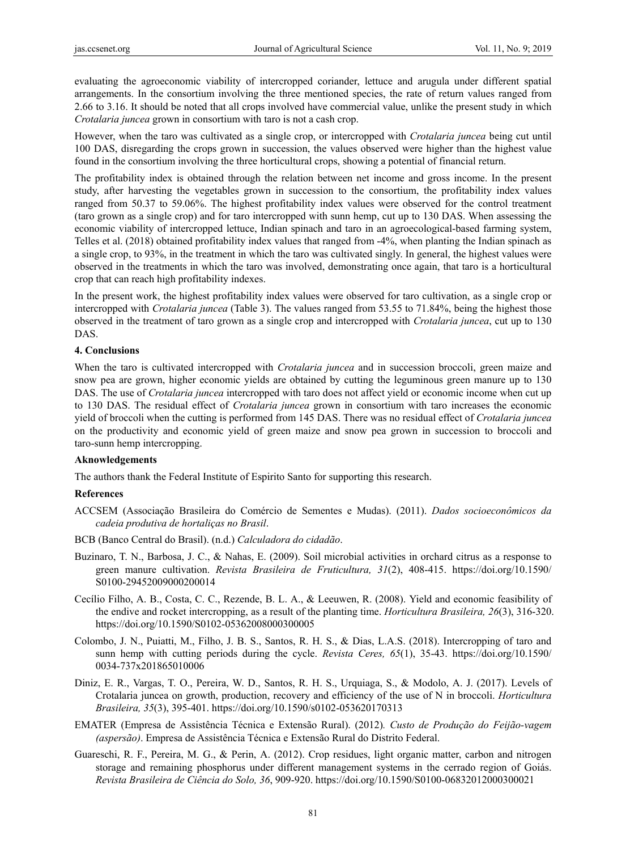evaluating the agroeconomic viability of intercropped coriander, lettuce and arugula under different spatial arrangements. In the consortium involving the three mentioned species, the rate of return values ranged from 2.66 to 3.16. It should be noted that all crops involved have commercial value, unlike the present study in which *Crotalaria juncea* grown in consortium with taro is not a cash crop.

However, when the taro was cultivated as a single crop, or intercropped with *Crotalaria juncea* being cut until 100 DAS, disregarding the crops grown in succession, the values observed were higher than the highest value found in the consortium involving the three horticultural crops, showing a potential of financial return.

The profitability index is obtained through the relation between net income and gross income. In the present study, after harvesting the vegetables grown in succession to the consortium, the profitability index values ranged from 50.37 to 59.06%. The highest profitability index values were observed for the control treatment (taro grown as a single crop) and for taro intercropped with sunn hemp, cut up to 130 DAS. When assessing the economic viability of intercropped lettuce, Indian spinach and taro in an agroecological-based farming system, Telles et al. (2018) obtained profitability index values that ranged from -4%, when planting the Indian spinach as a single crop, to 93%, in the treatment in which the taro was cultivated singly. In general, the highest values were observed in the treatments in which the taro was involved, demonstrating once again, that taro is a horticultural crop that can reach high profitability indexes.

In the present work, the highest profitability index values were observed for taro cultivation, as a single crop or intercropped with *Crotalaria juncea* (Table 3). The values ranged from 53.55 to 71.84%, being the highest those observed in the treatment of taro grown as a single crop and intercropped with *Crotalaria juncea*, cut up to 130 DAS.

### **4. Conclusions**

When the taro is cultivated intercropped with *Crotalaria juncea* and in succession broccoli, green maize and snow pea are grown, higher economic yields are obtained by cutting the leguminous green manure up to 130 DAS. The use of *Crotalaria juncea* intercropped with taro does not affect yield or economic income when cut up to 130 DAS. The residual effect of *Crotalaria juncea* grown in consortium with taro increases the economic yield of broccoli when the cutting is performed from 145 DAS. There was no residual effect of *Crotalaria juncea* on the productivity and economic yield of green maize and snow pea grown in succession to broccoli and taro-sunn hemp intercropping.

### **Aknowledgements**

The authors thank the Federal Institute of Espirito Santo for supporting this research.

## **References**

ACCSEM (Associação Brasileira do Comércio de Sementes e Mudas). (2011). *Dados socioeconômicos da cadeia produtiva de hortaliças no Brasil*.

### BCB (Banco Central do Brasil). (n.d.) *Calculadora do cidadão*.

- Buzinaro, T. N., Barbosa, J. C., & Nahas, E. (2009). Soil microbial activities in orchard citrus as a response to green manure cultivation. *Revista Brasileira de Fruticultura, 31*(2), 408-415. https://doi.org/10.1590/ S0100-29452009000200014
- Cecílio Filho, A. B., Costa, C. C., Rezende, B. L. A., & Leeuwen, R. (2008). Yield and economic feasibility of the endive and rocket intercropping, as a result of the planting time. *Horticultura Brasileira, 26*(3), 316-320. https://doi.org/10.1590/S0102-05362008000300005
- Colombo, J. N., Puiatti, M., Filho, J. B. S., Santos, R. H. S., & Dias, L.A.S. (2018). Intercropping of taro and sunn hemp with cutting periods during the cycle. *Revista Ceres, 65*(1), 35-43. https://doi.org/10.1590/ 0034-737x201865010006
- Diniz, E. R., Vargas, T. O., Pereira, W. D., Santos, R. H. S., Urquiaga, S., & Modolo, A. J. (2017). Levels of Crotalaria juncea on growth, production, recovery and efficiency of the use of N in broccoli. *Horticultura Brasileira, 35*(3), 395-401. https://doi.org/10.1590/s0102-053620170313
- EMATER (Empresa de Assistência Técnica e Extensão Rural). (2012)*. Custo de Produção do Feijão-vagem (aspersão)*. Empresa de Assistência Técnica e Extensão Rural do Distrito Federal.
- Guareschi, R. F., Pereira, M. G., & Perin, A. (2012). Crop residues, light organic matter, carbon and nitrogen storage and remaining phosphorus under different management systems in the cerrado region of Goiás. *Revista Brasileira de Ciência do Solo, 36*, 909-920. https://doi.org/10.1590/S0100-06832012000300021